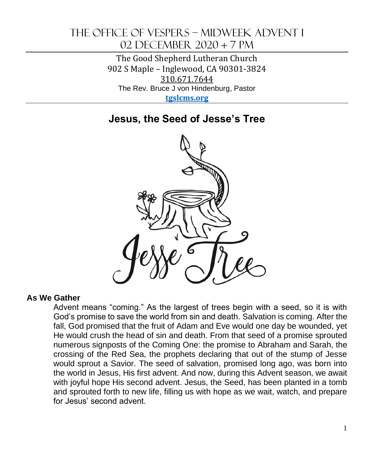# The office of Vespers – Midweek Advent i 02 December 2020 + 7 pm

The Good Shepherd Lutheran Church 902 S Maple – Inglewood, CA 90301-3824 310.671.7644 The Rev. Bruce J von Hindenburg, Pastor **[tgslcms.org](https://tgslcms.org/2020/03/our-situation-covid-19/)** 

# **Jesus, the Seed of Jesse's Tree**



### **As We Gather**

Advent means "coming." As the largest of trees begin with a seed, so it is with God's promise to save the world from sin and death. Salvation is coming. After the fall, God promised that the fruit of Adam and Eve would one day be wounded, yet He would crush the head of sin and death. From that seed of a promise sprouted numerous signposts of the Coming One: the promise to Abraham and Sarah, the crossing of the Red Sea, the prophets declaring that out of the stump of Jesse would sprout a Savior. The seed of salvation, promised long ago, was born into the world in Jesus, His first advent. And now, during this Advent season, we await with joyful hope His second advent. Jesus, the Seed, has been planted in a tomb and sprouted forth to new life, filling us with hope as we wait, watch, and prepare for Jesus' second advent.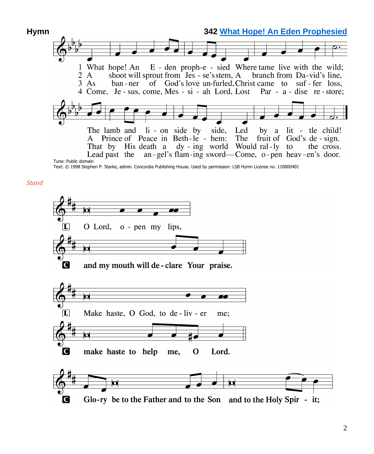

Text: © 1998 Stephen P. Starke, admin. Concordia Publishing House. Used by permission: LSB Hymn License no. 110000401

*Stand*

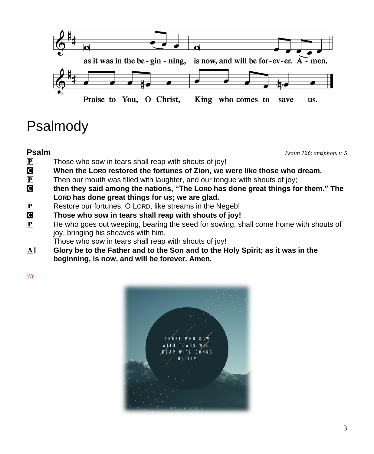

# Psalmody

**Psalm** *Psalm 126; antiphon: v. 5*

- $\overline{P}$  Those who sow in tears shall reap with shouts of joy!
- C **When the LORD restored the fortunes of Zion, we were like those who dream.**
- **P** Then our mouth was filled with laughter, and our tongue with shouts of joy;
- C **then they said among the nations, "The LORD has done great things for them." The LORD has done great things for us; we are glad.**
- P Restore our fortunes, O LORD, like streams in the Negeb!
- C **Those who sow in tears shall reap with shouts of joy!**
- P He who goes out weeping, bearing the seed for sowing, shall come home with shouts of joy, bringing his sheaves with him.

Those who sow in tears shall reap with shouts of joy!

All **Glory be to the Father and to the Son and to the Holy Spirit; as it was in the beginning, is now, and will be forever. Amen.**

*Sit*

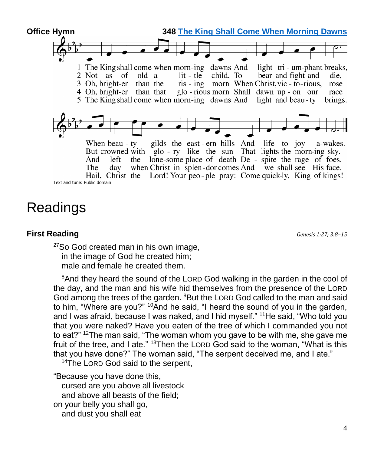

# Readings

## **First Reading** *Genesis 1:27; 3:8–15*

<sup>27</sup>So God created man in his own image, in the image of God he created him; male and female he created them.

<sup>8</sup>And they heard the sound of the LORD God walking in the garden in the cool of the day, and the man and his wife hid themselves from the presence of the LORD God among the trees of the garden. <sup>9</sup>But the LORD God called to the man and said to him, "Where are you?" <sup>10</sup>And he said, "I heard the sound of you in the garden, and I was afraid, because I was naked, and I hid myself." <sup>11</sup>He said, "Who told you that you were naked? Have you eaten of the tree of which I commanded you not to eat?" <sup>12</sup>The man said, "The woman whom you gave to be with me, she gave me fruit of the tree, and I ate." <sup>13</sup>Then the LORD God said to the woman, "What is this that you have done?" The woman said, "The serpent deceived me, and I ate."

<sup>14</sup>The LORD God said to the serpent,

"Because you have done this, cursed are you above all livestock and above all beasts of the field; on your belly you shall go, and dust you shall eat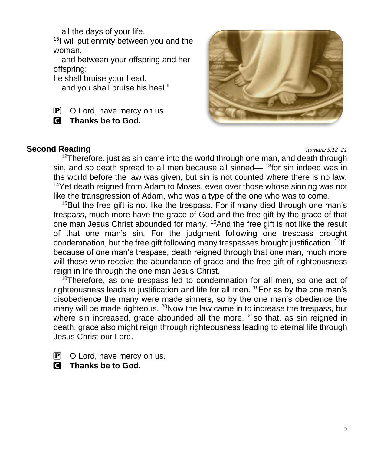all the days of your life.

<sup>15</sup>I will put enmity between you and the woman,

and between your offspring and her offspring;

he shall bruise your head,

and you shall bruise his heel."

 $\overline{P}$  O Lord, have mercy on us.

C **Thanks be to God.**



## **Second Reading** *Romans 5:12–21*

 $12$ Therefore, just as sin came into the world through one man, and death through sin, and so death spread to all men because all sinned—  $13$  for sin indeed was in the world before the law was given, but sin is not counted where there is no law. <sup>14</sup>Yet death reigned from Adam to Moses, even over those whose sinning was not like the transgression of Adam, who was a type of the one who was to come.

 $15$ But the free gift is not like the trespass. For if many died through one man's trespass, much more have the grace of God and the free gift by the grace of that one man Jesus Christ abounded for many. <sup>16</sup>And the free gift is not like the result of that one man's sin. For the judgment following one trespass brought condemnation, but the free gift following many trespasses brought justification.  $17$ If, because of one man's trespass, death reigned through that one man, much more will those who receive the abundance of grace and the free gift of righteousness reign in life through the one man Jesus Christ.

<sup>18</sup>Therefore, as one trespass led to condemnation for all men, so one act of righteousness leads to justification and life for all men. <sup>19</sup>For as by the one man's disobedience the many were made sinners, so by the one man's obedience the many will be made righteous. <sup>20</sup>Now the law came in to increase the trespass, but where sin increased, grace abounded all the more,  $^{21}$ so that, as sin reigned in death, grace also might reign through righteousness leading to eternal life through Jesus Christ our Lord.

- $\mathbf{P}$  O Lord, have mercy on us.
- C **Thanks be to God.**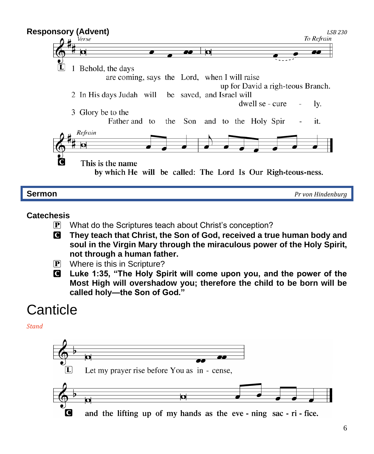

#### **Catechesis**

- P What do the Scriptures teach about Christ's conception?
- C **They teach that Christ, the Son of God, received a true human body and soul in the Virgin Mary through the miraculous power of the Holy Spirit, not through a human father.**
- P Where is this in Scripture?
- C **Luke 1:35, "The Holy Spirit will come upon you, and the power of the Most High will overshadow you; therefore the child to be born will be called holy—the Son of God."**

# **Canticle**

*Stand*

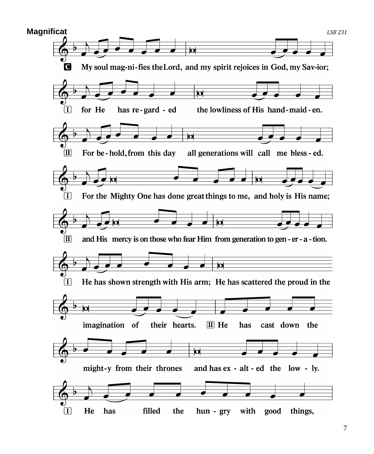

7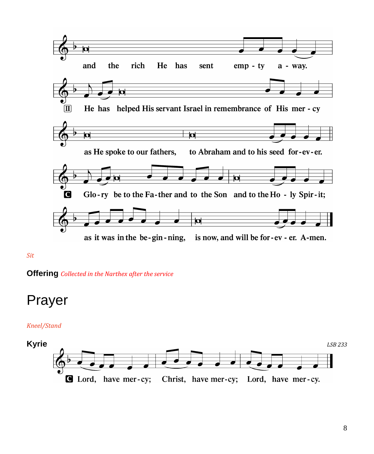

#### *Sit*

**Offering** *Collected in the Narthex after the service*

# Prayer

#### *Kneel/Stand*

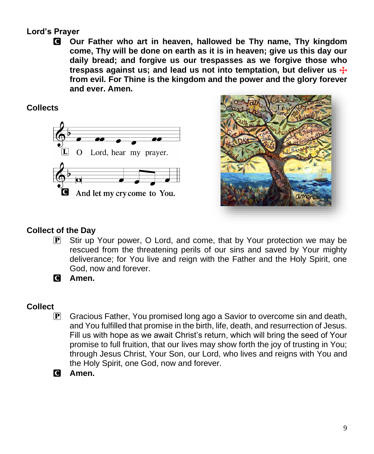# **Lord's Prayer**

C **Our Father who art in heaven, hallowed be Thy name, Thy kingdom come, Thy will be done on earth as it is in heaven; give us this day our daily bread; and forgive us our trespasses as we forgive those who trespass against us; and lead us not into temptation, but deliver us** T **from evil. For Thine is the kingdom and the power and the glory forever and ever. Amen.**

# **Collects**





# **Collect of the Day**

- P Stir up Your power, O Lord, and come, that by Your protection we may be rescued from the threatening perils of our sins and saved by Your mighty deliverance; for You live and reign with the Father and the Holy Spirit, one God, now and forever.
- C **Amen.**

## **Collect**

- P Gracious Father, You promised long ago a Savior to overcome sin and death, and You fulfilled that promise in the birth, life, death, and resurrection of Jesus. Fill us with hope as we await Christ's return, which will bring the seed of Your promise to full fruition, that our lives may show forth the joy of trusting in You; through Jesus Christ, Your Son, our Lord, who lives and reigns with You and the Holy Spirit, one God, now and forever.
- C **Amen.**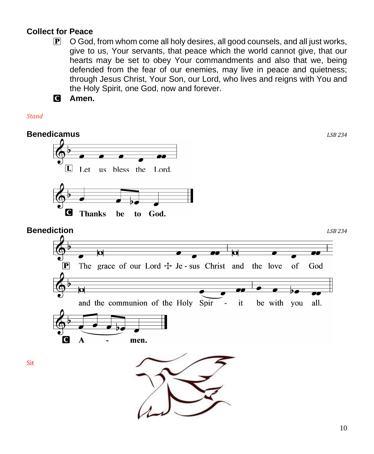# **Collect for Peace**

- $\mathbf{P}$  O God, from whom come all holy desires, all good counsels, and all just works, give to us, Your servants, that peace which the world cannot give, that our hearts may be set to obey Your commandments and also that we, being defended from the fear of our enemies, may live in peace and quietness; through Jesus Christ, Your Son, our Lord, who lives and reigns with You and the Holy Spirit, one God, now and forever.
- C **Amen.**

*Stand*

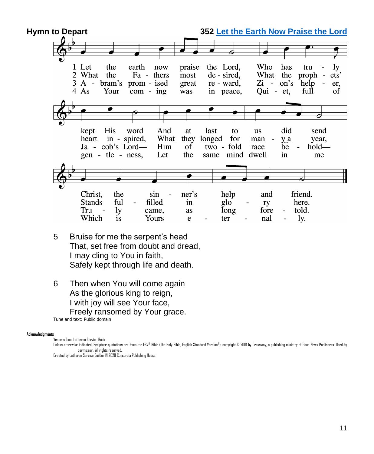

- 5 Bruise for me the serpent's head That, set free from doubt and dread, I may cling to You in faith, Safely kept through life and death.
- 6 Then when You will come again As the glorious king to reign, I with joy will see Your face, Freely ransomed by Your grace. Tune and text: Public domain

#### **Acknowledgments**

Vespers from Lutheran Service Book

Unless otherwise indicated, Scripture quotations are from the ESV® Bible (The Holy Bible, English Standard Version®), copyright © 2001 by Crossway, a publishing ministry of Good News Publishers. Used by permission. All rights reserved.

Created by Lutheran Service Builder © 2020 Concordia Publishing House.